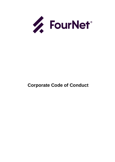

# **Corporate Code of Conduct**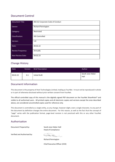# Document Control

| Document Title:          | 002-62 Corporate Code of Conduct |
|--------------------------|----------------------------------|
| Owner:                   | <b>Richard Pennington</b>        |
| Category:                | Restricted                       |
| Classification:          | <b>ISO Controlled</b>            |
| Version:                 | 1.0                              |
| Date:                    | 09.02.22                         |
| <b>Review Frequency:</b> | Annually                         |
| <b>Next Review Date:</b> | 09.02.23                         |

# Change History

| Date     | Version | <b>Brief Description</b> | Author                    |
|----------|---------|--------------------------|---------------------------|
| 09.02.22 | 0.1     | <b>Initial Draft</b>     | Sarah-Jane Heber-<br>Hall |

## Document Information

This document is the property of 4net Technologies Limited, trading as FourNet. It must not be reproduced in whole or in part of otherwise disclosed without prior written consent from FourNet.

The official controlled copy of this manual is the digitally signed PDF document on the FourNet SharePoint® and visible to all authorised users. All printed copies and all electronic copies and versions except the ones described above, are considered uncontrolled copies used for reference only.

This document is controlled as a single entity, as any change, however slight, even a single character, to any part of the document by definition changes the entire document. For this reason, as well as the fact that the concept of "page" varies with the publication format, page-level revision is not practiced with this or any other FourNet document.

## Authorisation

Document Prepared by: Sarah-Jane Heber-Hall

Head of Compliance

Verified and Authorised by:

÷.

Richard Pennington Chief Executive Officer (CEO)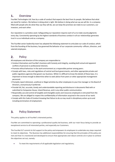#### 1. **Overview**

FourNet Technologies Ltd. lives by a code of conduct that expects the best from its people. We believe that what we stand for matters. We believe in doing what is right. We believe in doing what we say we will do. In a company filled with people who do what they say they will do, we can keep the promises we make to our customers, our investors, and each other.

Our reputation is a priceless asset. Safeguarding our reputation requires each of us to make sound judgments every day. Consistently operating by the highest standards of business conduct in all our relationships generates trust in us as individuals and as a company.

The FourNet senior leadership team has adopted the following statement to articulate our code of conduct, which from the founding of the business, has governed the behavior of our corporate community--officers, directors, and salaried employees.

#### $2.$ **Policy**

All employees and directors of the company are responsible to:

- Conduct themselves and FourNet's business with honesty and integrity, avoiding both actual and apparent conflicts of personal or professional interests.
- Promote ethical behaviour in the work environment as a responsible partner among peers.
- Comply with laws, rules and regulations of central and local governments, and other appropriate private and public regulatory agencies that govern our business. While it is difficult to know the details of these laws, it is important to know enough to determine when to seek advice from peers or other appropriate management personnel.
- Promptly report dishonest, unethical or illegal activities by other employees to your line manager or the Board of Directors, anonymously if preferred.
- Provide full, fair, accurate, timely and understandable reporting and disclosure in documents filed with or submitted to Companies House, Inland Revenue, and in any other public communication.
- Responsibly use and control all tangible and intangible assets and resources employed or entrusted from the company. We are obliged to respect the confidentiality of information acquired in the course of our work.
- Comply with this Code of Conduct knowing that failure to do so may result in disciplinary action up to and including termination of employment.

#### $3.$ Policy Statement

This policy applies to all FourNet's interested parties.

FourNet are committed to operating a professional quality led business, with our main focus being to provide an exceptional service to all interested parties, and especially our Customers.

The FourNet SLT commit its full support to the policy and empowers its employees to undertake any steps required to meet its objectives. The Business has additional responsibilities for ensuring that the principles of the policy are met and that it is monitored and developed to ensure that appropriate and robust controls are in place to achieve the objectives set out, namely:

• To meet the requirements of all applicable legislation and regulations;